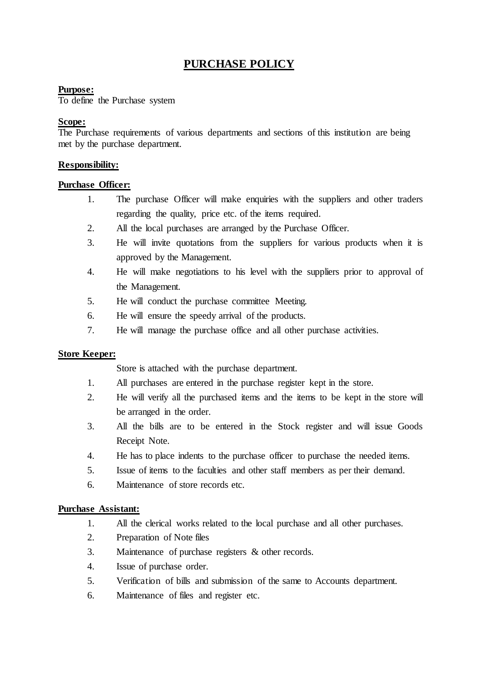# **PURCHASE POLICY**

# **Purpose:**

To define the Purchase system

# **Scope:**

The Purchase requirements of various departments and sections of this institution are being met by the purchase department.

# **Responsibility:**

# **Purchase Officer:**

- 1. The purchase Officer will make enquiries with the suppliers and other traders regarding the quality, price etc. of the items required.
- 2. All the local purchases are arranged by the Purchase Officer.
- 3. He will invite quotations from the suppliers for various products when it is approved by the Management.
- 4. He will make negotiations to his level with the suppliers prior to approval of the Management.
- 5. He will conduct the purchase committee Meeting.
- 6. He will ensure the speedy arrival of the products.
- 7. He will manage the purchase office and all other purchase activities.

## **Store Keeper:**

Store is attached with the purchase department.

- 1. All purchases are entered in the purchase register kept in the store.
- 2. He will verify all the purchased items and the items to be kept in the store will be arranged in the order.
- 3. All the bills are to be entered in the Stock register and will issue Goods Receipt Note.
- 4. He has to place indents to the purchase officer to purchase the needed items.
- 5. Issue of items to the faculties and other staff members as per their demand.
- 6. Maintenance of store records etc.

## **Purchase Assistant:**

- 1. All the clerical works related to the local purchase and all other purchases.
- 2. Preparation of Note files
- 3. Maintenance of purchase registers & other records.
- 4. Issue of purchase order.
- 5. Verification of bills and submission of the same to Accounts department.
- 6. Maintenance of files and register etc.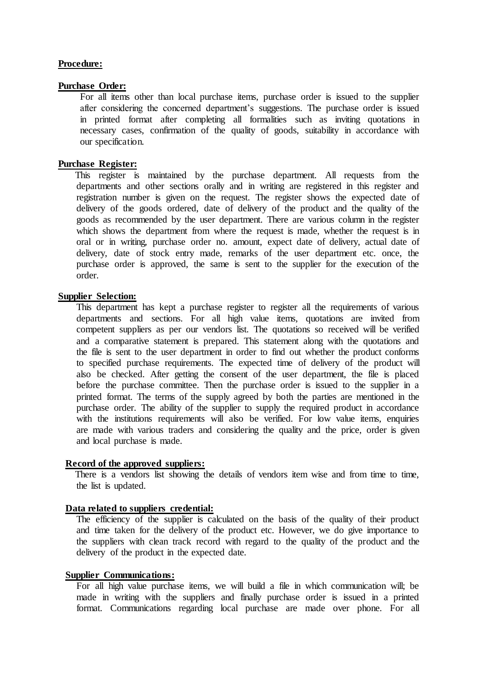#### **Procedure:**

#### **Purchase Order:**

For all items other than local purchase items, purchase order is issued to the supplier after considering the concerned department's suggestions. The purchase order is issued in printed format after completing all formalities such as inviting quotations in necessary cases, confirmation of the quality of goods, suitability in accordance with our specification.

## **Purchase Register:**

 This register is maintained by the purchase department. All requests from the departments and other sections orally and in writing are registered in this register and registration number is given on the request. The register shows the expected date of delivery of the goods ordered, date of delivery of the product and the quality of the goods as recommended by the user department. There are various column in the register which shows the department from where the request is made, whether the request is in oral or in writing, purchase order no. amount, expect date of delivery, actual date of delivery, date of stock entry made, remarks of the user department etc. once, the purchase order is approved, the same is sent to the supplier for the execution of the order.

## **Supplier Selection:**

This department has kept a purchase register to register all the requirements of various departments and sections. For all high value items, quotations are invited from competent suppliers as per our vendors list. The quotations so received will be verified and a comparative statement is prepared. This statement along with the quotations and the file is sent to the user department in order to find out whether the product conforms to specified purchase requirements. The expected time of delivery of the product will also be checked. After getting the consent of the user department, the file is placed before the purchase committee. Then the purchase order is issued to the supplier in a printed format. The terms of the supply agreed by both the parties are mentioned in the purchase order. The ability of the supplier to supply the required product in accordance with the institutions requirements will also be verified. For low value items, enquiries are made with various traders and considering the quality and the price, order is given and local purchase is made.

#### **Record of the approved suppliers:**

 There is a vendors list showing the details of vendors item wise and from time to time, the list is updated.

#### **Data related to suppliers credential:**

The efficiency of the supplier is calculated on the basis of the quality of their product and time taken for the delivery of the product etc. However, we do give importance to the suppliers with clean track record with regard to the quality of the product and the delivery of the product in the expected date.

#### **Supplier Communications:**

For all high value purchase items, we will build a file in which communication will; be made in writing with the suppliers and finally purchase order is issued in a printed format. Communications regarding local purchase are made over phone. For all